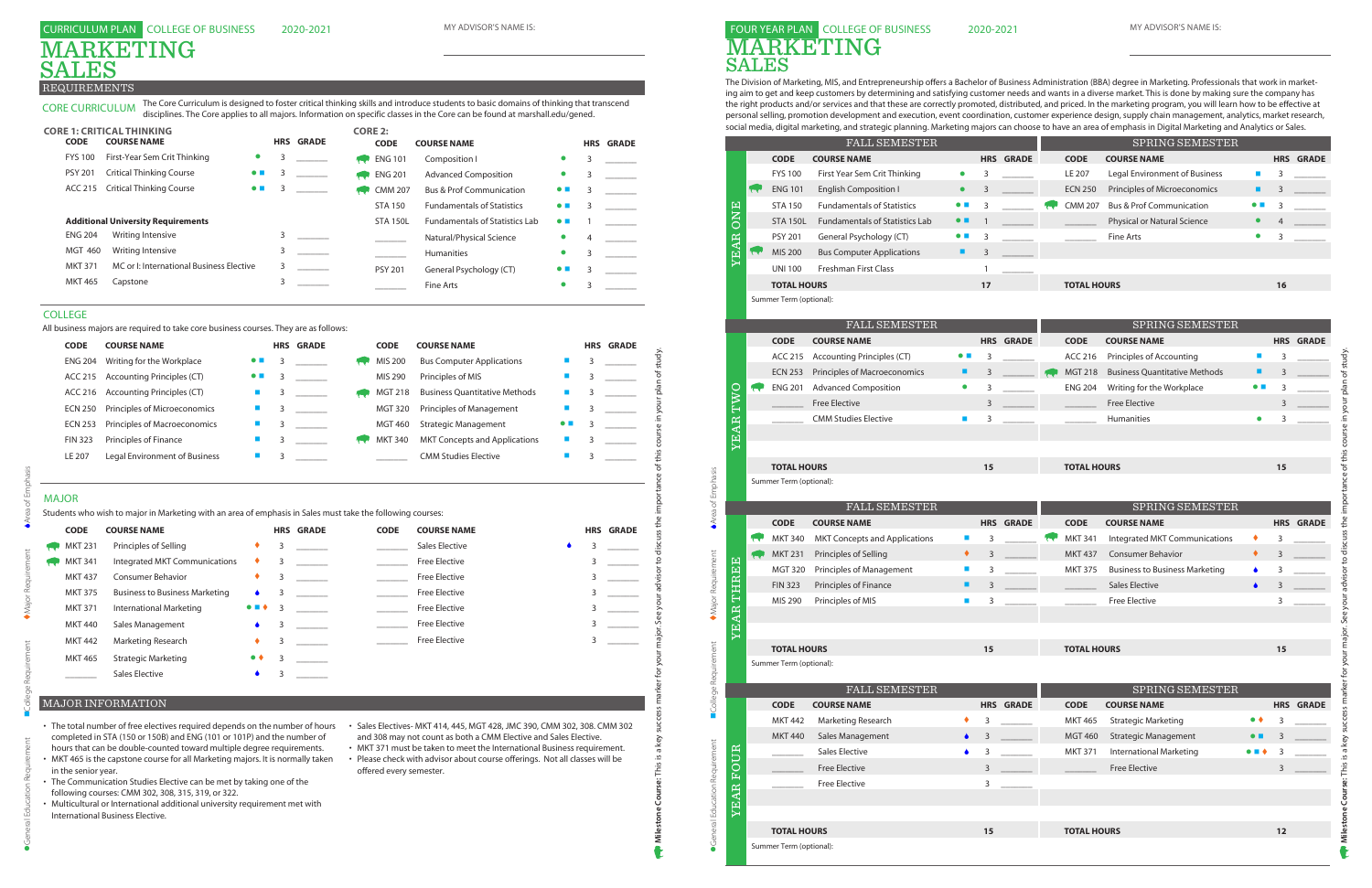The Division of Marketing, MIS, and Entrepreneurship offers a Bachelor of Business Administration (BBA) degree in Marketing. Professionals that work in marketing aim to get and keep customers by determining and satisfying customer needs and wants in a diverse market. This is done by making sure the company has the right products and/or services and that these are correctly promoted, distributed, and priced. In the marketing program, you will learn how to be effective at personal selling, promotion development and execution, event coordination, customer experience design, supply chain management, analytics, market research, social media, digital marketing, and strategic planning. Marketing majors can choose to have an area of emphasis in Digital Marketing and Analytics or Sales.

### FOUR YEAR PLAN COLLEGE OF BUSINESS MARKETING SALES

|                       |           |                                               | <b>FALL SEMESTER</b>                  |                          |                |                  |                    | SPRING SEMESTER                       |                             |      |                  |
|-----------------------|-----------|-----------------------------------------------|---------------------------------------|--------------------------|----------------|------------------|--------------------|---------------------------------------|-----------------------------|------|------------------|
|                       |           | <b>CODE</b>                                   | <b>COURSE NAME</b>                    |                          |                | <b>HRS GRADE</b> | <b>CODE</b>        | <b>COURSE NAME</b>                    |                             |      | <b>HRS GRADE</b> |
|                       |           | <b>FYS 100</b>                                | First Year Sem Crit Thinking          | $\bullet$                | 3              |                  | LE 207             | Legal Environment of Business         | $\mathcal{L}_{\mathcal{A}}$ | 3    |                  |
|                       |           | <b>ENG 101</b>                                | <b>English Composition I</b>          | $\bullet$                | $\mathsf 3$    |                  | <b>ECN 250</b>     | Principles of Microeconomics          | ٠                           | 3    |                  |
|                       |           | <b>STA 150</b>                                | <b>Fundamentals of Statistics</b>     | $\bullet$ $\blacksquare$ | 3              |                  | <b>CMM 207</b>     | <b>Bus &amp; Prof Communication</b>   | $\bullet$ $\blacksquare$    | 3    |                  |
| <b>ONE</b>            |           | <b>STA 150L</b>                               | <b>Fundamentals of Statistics Lab</b> | $\bullet$ $\blacksquare$ | $\mathbf{1}$   |                  |                    | Physical or Natural Science           | $\bullet$                   |      |                  |
|                       |           | <b>PSY 201</b>                                | General Psychology (CT)               | $\bullet$ $\blacksquare$ | 3              |                  |                    | Fine Arts                             | $\bullet$                   | 3    |                  |
| YEAR                  | <b>CO</b> | MIS 200                                       | <b>Bus Computer Applications</b>      | ٠                        | $\overline{3}$ |                  |                    |                                       |                             |      |                  |
|                       |           | <b>UNI 100</b>                                | Freshman First Class                  |                          | 1              |                  |                    |                                       |                             |      |                  |
|                       |           | <b>TOTAL HOURS</b>                            |                                       |                          | 17             |                  | <b>TOTAL HOURS</b> |                                       |                             | 16   |                  |
|                       |           | Summer Term (optional):                       |                                       |                          |                |                  |                    |                                       |                             |      |                  |
|                       |           |                                               | FALL SEMESTER                         |                          |                |                  |                    | SPRING SEMESTER                       |                             |      |                  |
|                       |           | <b>CODE</b>                                   | <b>COURSE NAME</b>                    |                          |                | <b>HRS GRADE</b> | <b>CODE</b>        | <b>COURSE NAME</b>                    |                             |      | <b>HRS GRADE</b> |
|                       |           | ACC 215                                       | <b>Accounting Principles (CT)</b>     | $\bullet\blacksquare$    | 3              |                  | ACC 216            | Principles of Accounting              | $\blacksquare$              | 3    |                  |
|                       |           | <b>ECN 253</b>                                | Principles of Macroeconomics          | ٠                        | 3              |                  | <b>MGT 218</b>     | <b>Business Quantitative Methods</b>  | ٠                           | 3    |                  |
|                       |           | <b>ENG 201</b>                                | <b>Advanced Composition</b>           | $\bullet$                | 3              |                  | <b>ENG 204</b>     | Writing for the Workplace             | $\bullet$ $\blacksquare$    | 3    |                  |
| TWO                   |           |                                               | Free Elective                         |                          | 3              |                  |                    | <b>Free Elective</b>                  |                             | 3    |                  |
|                       |           |                                               | <b>CMM Studies Elective</b>           | ш                        | 3              |                  |                    | Humanities                            |                             | 3    |                  |
| <b>YEAR</b>           |           |                                               |                                       |                          |                |                  |                    |                                       |                             |      |                  |
|                       |           |                                               |                                       |                          |                |                  |                    |                                       |                             |      |                  |
|                       |           | <b>TOTAL HOURS</b>                            |                                       |                          | 15             |                  | <b>TOTAL HOURS</b> |                                       |                             | 15   |                  |
|                       |           | Summer Term (optional):                       |                                       |                          |                |                  |                    |                                       |                             |      |                  |
|                       |           |                                               |                                       |                          |                |                  |                    |                                       |                             |      |                  |
|                       |           |                                               |                                       |                          |                |                  |                    |                                       |                             |      |                  |
|                       |           | <b>CODE</b>                                   | FALL SEMESTER<br><b>COURSE NAME</b>   |                          |                | <b>HRS GRADE</b> | <b>CODE</b>        | SPRING SEMESTER<br><b>COURSE NAME</b> |                             |      | <b>HRS GRADE</b> |
|                       |           | <b>MKT 340</b>                                | <b>MKT Concepts and Applications</b>  | ш                        | 3              |                  | <b>MKT 341</b>     | Integrated MKT Communications         | ٠                           | 3    |                  |
|                       |           | <b>MKT 231</b>                                | Principles of Selling                 | ٠                        | 3              |                  | <b>MKT 437</b>     | <b>Consumer Behavior</b>              | ٠                           | 3    |                  |
|                       |           | <b>MGT 320</b>                                | Principles of Management              | ш                        | 3              |                  | <b>MKT 375</b>     | <b>Business to Business Marketing</b> | ۰                           | 3    |                  |
|                       |           | <b>FIN 323</b>                                | Principles of Finance                 | п                        | 3              |                  |                    | <b>Sales Elective</b>                 |                             | 3    |                  |
|                       |           | MIS 290                                       | Principles of MIS                     | $\blacksquare$           | 3              |                  |                    | <b>Free Elective</b>                  |                             | 3    |                  |
|                       |           |                                               |                                       |                          |                |                  |                    |                                       |                             |      |                  |
|                       |           |                                               |                                       |                          |                |                  |                    |                                       |                             |      |                  |
|                       |           | <b>TOTAL HOURS</b>                            |                                       |                          | 15             |                  | <b>TOTAL HOURS</b> |                                       |                             | 15   |                  |
| THREE<br><b>EAR</b>   |           | Summer Term (optional):                       |                                       |                          |                |                  |                    |                                       |                             |      |                  |
|                       |           |                                               |                                       |                          |                |                  |                    |                                       |                             |      |                  |
|                       |           | <b>CODE</b>                                   | FALL SEMESTER<br><b>COURSE NAME</b>   |                          |                | <b>HRS GRADE</b> | <b>CODE</b>        | SPRING SEMESTER<br><b>COURSE NAME</b> |                             |      | <b>HRS GRADE</b> |
|                       |           | <b>MKT 442</b>                                | Marketing Research                    |                          | 3              |                  | <b>MKT 465</b>     | <b>Strategic Marketing</b>            | $\bullet$ $\bullet$         | 3    |                  |
|                       |           | <b>MKT 440</b>                                | Sales Management                      |                          | 3              |                  | <b>MGT 460</b>     | <b>Strategic Management</b>           | $\bullet$ $\blacksquare$    | 3    |                  |
| ᄄ                     |           |                                               | <b>Sales Elective</b>                 |                          | 3              |                  | <b>MKT 371</b>     | <b>International Marketing</b>        | $\bullet$ $\blacksquare$    |      |                  |
| ⋍                     |           |                                               | <b>Free Elective</b>                  |                          | 3              |                  |                    | <b>Free Elective</b>                  |                             | 3    |                  |
|                       |           |                                               | <b>Free Elective</b>                  |                          | 3              |                  |                    |                                       |                             |      |                  |
| Ē                     |           |                                               |                                       |                          |                |                  |                    |                                       |                             |      |                  |
| $\sum$<br><b>YEAR</b> |           |                                               |                                       |                          |                |                  |                    |                                       |                             |      |                  |
|                       |           | <b>TOTAL HOURS</b><br>Summer Term (optional): |                                       |                          | 15             |                  | <b>TOTAL HOURS</b> |                                       |                             | $12$ |                  |

| <b>CODE</b>    | <b>COURSE NAME</b>                    |                       | <b>HRS</b> | <b>GRADE</b> | <b>CODE</b> | <b>COURSE NAME</b>    |  | <b>HRS GRADE</b> |
|----------------|---------------------------------------|-----------------------|------------|--------------|-------------|-----------------------|--|------------------|
| <b>MKT 231</b> | Principles of Selling                 | ٠                     | 3          |              |             | <b>Sales Elective</b> |  |                  |
| <b>MKT 341</b> | Integrated MKT Communications         | ٠                     |            |              |             | <b>Free Elective</b>  |  |                  |
| <b>MKT 437</b> | <b>Consumer Behavior</b>              | ٠                     |            |              |             | <b>Free Elective</b>  |  |                  |
| <b>MKT 375</b> | <b>Business to Business Marketing</b> |                       |            |              |             | <b>Free Elective</b>  |  |                  |
| <b>MKT 371</b> | International Marketing               | $\bullet$ . $\bullet$ | 3          |              |             | <b>Free Elective</b>  |  |                  |
| <b>MKT 440</b> | Sales Management                      |                       |            |              |             | <b>Free Elective</b>  |  |                  |
| <b>MKT 442</b> | Marketing Research                    | ٠                     |            |              |             | <b>Free Elective</b>  |  |                  |
| <b>MKT 465</b> | <b>Strategic Marketing</b>            | $\bullet$ $\bullet$   |            |              |             |                       |  |                  |
|                | <b>Sales Elective</b>                 |                       |            |              |             |                       |  |                  |

| <b>CODE</b>         | <b>COURSE NAME</b>                                                                                                                                                                                                               |                          |   | <b>HRS GRADE</b> | <b>CODE</b>             | <b>COURSE NAME</b>                                                                                                                                                                                                         |   | <b>HRS GRADE</b> |
|---------------------|----------------------------------------------------------------------------------------------------------------------------------------------------------------------------------------------------------------------------------|--------------------------|---|------------------|-------------------------|----------------------------------------------------------------------------------------------------------------------------------------------------------------------------------------------------------------------------|---|------------------|
| <b>ENG 204</b>      | Writing for the Workplace                                                                                                                                                                                                        |                          | 3 |                  | MIS 200                 | <b>Bus Computer Applications</b>                                                                                                                                                                                           | 3 |                  |
| <b>ACC 215</b>      | <b>Accounting Principles (CT)</b>                                                                                                                                                                                                | $\bullet$ $\blacksquare$ | 3 |                  | MIS 290                 | Principles of MIS                                                                                                                                                                                                          | 3 |                  |
| <b>ACC 216</b>      | <b>Accounting Principles (CT)</b>                                                                                                                                                                                                |                          | 3 |                  | <b>MGT 218</b>          | <b>Business Ouantitative Methods</b>                                                                                                                                                                                       | 3 |                  |
| <b>ECN 250</b>      | Principles of Microeconomics                                                                                                                                                                                                     | ш                        | 3 |                  | <b>MGT 320</b>          | <b>Principles of Management</b>                                                                                                                                                                                            | 3 |                  |
| <b>ECN 253</b>      | Principles of Macroeconomics                                                                                                                                                                                                     |                          | 3 |                  | <b>MGT 460</b>          | <b>Strategic Management</b>                                                                                                                                                                                                | 3 |                  |
| <b>FIN 323</b>      | Principles of Finance                                                                                                                                                                                                            |                          | 3 |                  | <b>MKT 340</b>          | <b>MKT Concepts and Applications</b>                                                                                                                                                                                       | 3 |                  |
| LE 207              | <b>Legal Environment of Business</b>                                                                                                                                                                                             | П                        | 3 |                  |                         | <b>CMM Studies Elective</b>                                                                                                                                                                                                | 3 |                  |
| <b>MAJOR</b>        |                                                                                                                                                                                                                                  |                          |   |                  |                         |                                                                                                                                                                                                                            |   |                  |
| <b>CODE</b>         | Students who wish to major in Marketing with an area of emphasis in Sales must take the following courses:<br><b>COURSE NAME</b>                                                                                                 |                          |   | <b>HRS GRADE</b> | <b>CODE</b>             | <b>COURSE NAME</b>                                                                                                                                                                                                         |   | <b>HRS GRADE</b> |
| <b>MKT 231</b>      | Principles of Selling                                                                                                                                                                                                            | ٠                        | 3 |                  |                         | <b>Sales Elective</b>                                                                                                                                                                                                      | 3 |                  |
| <b>MKT 341</b>      | Integrated MKT Communications                                                                                                                                                                                                    | ٠                        | 3 |                  |                         | <b>Free Elective</b>                                                                                                                                                                                                       | 3 |                  |
| <b>MKT 437</b>      | <b>Consumer Behavior</b>                                                                                                                                                                                                         |                          | 3 |                  |                         | <b>Free Elective</b>                                                                                                                                                                                                       | 3 |                  |
| <b>MKT 375</b>      | <b>Business to Business Marketing</b>                                                                                                                                                                                            |                          | 3 |                  |                         | <b>Free Elective</b>                                                                                                                                                                                                       | 3 |                  |
| <b>MKT 371</b>      | International Marketing                                                                                                                                                                                                          |                          | 3 |                  |                         | <b>Free Elective</b>                                                                                                                                                                                                       | 3 |                  |
| <b>MKT 440</b>      | Sales Management                                                                                                                                                                                                                 |                          | 3 |                  |                         | <b>Free Elective</b>                                                                                                                                                                                                       | 3 |                  |
| <b>MKT 442</b>      | Marketing Research                                                                                                                                                                                                               |                          | 3 |                  |                         | <b>Free Elective</b>                                                                                                                                                                                                       | 3 |                  |
| <b>MKT 465</b>      | <b>Strategic Marketing</b>                                                                                                                                                                                                       |                          | 3 |                  |                         |                                                                                                                                                                                                                            |   |                  |
|                     | <b>Sales Elective</b>                                                                                                                                                                                                            |                          | 3 |                  |                         |                                                                                                                                                                                                                            |   |                  |
|                     | <b>MAJOR INFORMATION</b>                                                                                                                                                                                                         |                          |   |                  |                         |                                                                                                                                                                                                                            |   |                  |
|                     | The total number of free electives required depends on the number of hours                                                                                                                                                       |                          |   |                  |                         | • Sales Electives- MKT 414, 445, MGT 428, JMC 390, CMM 302, 308. CMM 302                                                                                                                                                   |   |                  |
| in the senior year. | completed in STA (150 or 150B) and ENG (101 or 101P) and the number of<br>hours that can be double-counted toward multiple degree requirements.<br>MKT 465 is the capstone course for all Marketing majors. It is normally taken |                          |   |                  | offered every semester. | and 308 may not count as both a CMM Elective and Sales Elective.<br>• MKT 371 must be taken to meet the International Business requirement.<br>• Please check with advisor about course offerings. Not all classes will be |   |                  |
|                     | The Communication Studies Elective can be met by taking one of the<br>following courses: CMM 302, 308, 315, 319, or 322.                                                                                                         |                          |   |                  |                         |                                                                                                                                                                                                                            |   |                  |

CORE CURRICULUM

FYS 100 First-Year Sem Crit Thinking  $\bullet$  3  $\phantom{1}$ PSY 201 Critical Thinking Course **a** 3 \_\_\_\_\_\_\_ ACC 215 Critical Thinking Course **a** 3 \_\_\_\_\_\_ **CODE COURSE NAME HRS GRADE CORE 1: CRITICAL THINKING CORE 2:**   $\begin{array}{cccc} \bullet & 3 & \textcolor{red}{\textbf{1}} & \textcolor{red}{\textbf{2}} & \textcolor{red}{\textbf{3}} & \textcolor{red}{\textbf{3}} & \textcolor{red}{\textbf{1}} & \textcolor{red}{\textbf{1}} & \textcolor{red}{\textbf{1}} & \textcolor{red}{\textbf{1}} & \textcolor{red}{\textbf{1}} & \textcolor{red}{\textbf{1}} & \textcolor{red}{\textbf{1}} & \textcolor{red}{\textbf{1}} & \textcolor{red}{\textbf{1}} & \textcolor{red}{\textbf{1}} & \textcolor{red}{\textbf{1}} & \textcolor{red}{\textbf{1}}$ ENG 201 Advanced Composition  $\bullet$  3 \_\_\_\_\_\_ CMM 207 Bus & Prof Communication 0 3 \_\_\_\_\_\_ STA 150 Fundamentals of Statistics  $\bullet$   $\bullet$  3 \_\_\_\_\_\_ STA 150L Fundamentals of Statistics Lab  $\bullet$  1 **Matural/Physical Science 1 1** \_\_\_\_\_\_\_ **EXECUTE:** Humanities **and COVID-10** 3 \_\_\_\_\_\_\_\_ PSY 201 General Psychology (CT)  $\bullet$  3 \_\_\_\_\_\_ \_\_\_\_\_\_\_ Fine Arts l 3 \_\_\_\_\_\_\_ **CODE COURSE NAME HRS** GRADE ENG 204 Writing Intensive 3 MGT 460 Writing Intensive 3 \_\_\_\_\_\_\_ MKT 371 MC or I: International Business Elective 3 MKT 465 Capstone 3 **Additional University Requirements** 

# MAJOR

# MARKETING REQUIREMENTS SALES

- The total number of free electives required depends on the number of hours Sales Electives- MKT 414, 445, MGT 428, JMC 390, CMM 302, 308. CMM 302 completed in STA (150 or 150B) and ENG (101 or 101P) and the number of hours that can be double-counted toward multiple degree requirements.
- MKT 465 is the capstone course for all Marketing majors. It is normally taken in the senior year.
- The Communication Studies Elective can be met by taking one of the following courses: CMM 302, 308, 315, 319, or 322.
- Multicultural or International additional university requirement met with International Business Elective.
- and 308 may not count as both a CMM Elective and Sales Elective.
- MKT 371 must be taken to meet the International Business requirement. • Please check with advisor about course offerings. Not all classes will be offered every semester.

### MAJOR INFORMATION

#### COLLEGE

All business majors are required to take core business courses. They are as follows:

The Core Curriculum is designed to foster critical thinking skills and introduce students to basic domains of thinking that transcend

disciplines. The Core applies to all majors. Information on specific classes in the Core can be found at marshall.edu/gened.